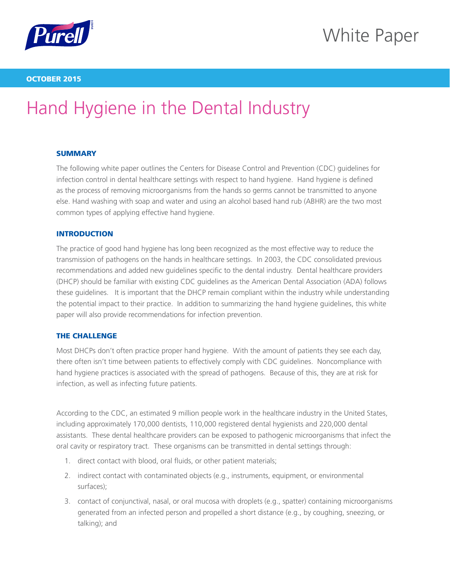

# White Paper

### OCTOBER 2015

# Hand Hygiene in the Dental Industry

### **SUMMARY**

The following white paper outlines the Centers for Disease Control and Prevention (CDC) guidelines for infection control in dental healthcare settings with respect to hand hygiene. Hand hygiene is defined as the process of removing microorganisms from the hands so germs cannot be transmitted to anyone else. Hand washing with soap and water and using an alcohol based hand rub (ABHR) are the two most common types of applying effective hand hygiene.

### INTRODUCTION

The practice of good hand hygiene has long been recognized as the most effective way to reduce the transmission of pathogens on the hands in healthcare settings. In 2003, the CDC consolidated previous recommendations and added new guidelines specific to the dental industry. Dental healthcare providers (DHCP) should be familiar with existing CDC guidelines as the American Dental Association (ADA) follows these guidelines. It is important that the DHCP remain compliant within the industry while understanding the potential impact to their practice. In addition to summarizing the hand hygiene guidelines, this white paper will also provide recommendations for infection prevention.

#### THE CHALLENGE

Most DHCPs don't often practice proper hand hygiene. With the amount of patients they see each day, there often isn't time between patients to effectively comply with CDC guidelines. Noncompliance with hand hygiene practices is associated with the spread of pathogens. Because of this, they are at risk for infection, as well as infecting future patients.

According to the CDC, an estimated 9 million people work in the healthcare industry in the United States, including approximately 170,000 dentists, 110,000 registered dental hygienists and 220,000 dental assistants. These dental healthcare providers can be exposed to pathogenic microorganisms that infect the oral cavity or respiratory tract. These organisms can be transmitted in dental settings through:

- 1. direct contact with blood, oral fluids, or other patient materials;
- 2. indirect contact with contaminated objects (e.g., instruments, equipment, or environmental surfaces);
- 3. contact of conjunctival, nasal, or oral mucosa with droplets (e.g., spatter) containing microorganisms generated from an infected person and propelled a short distance (e.g., by coughing, sneezing, or talking); and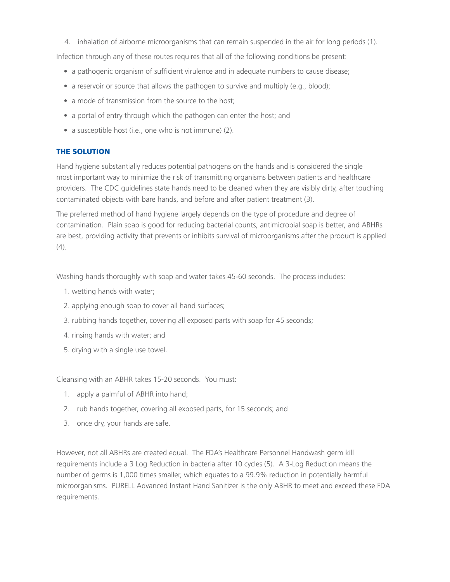4. inhalation of airborne microorganisms that can remain suspended in the air for long periods (1).

Infection through any of these routes requires that all of the following conditions be present:

- a pathogenic organism of sufficient virulence and in adequate numbers to cause disease;
- a reservoir or source that allows the pathogen to survive and multiply (e.g., blood);
- a mode of transmission from the source to the host;
- a portal of entry through which the pathogen can enter the host; and
- a susceptible host (i.e., one who is not immune) (2).

## THE SOLUTION

Hand hygiene substantially reduces potential pathogens on the hands and is considered the single most important way to minimize the risk of transmitting organisms between patients and healthcare providers. The CDC guidelines state hands need to be cleaned when they are visibly dirty, after touching contaminated objects with bare hands, and before and after patient treatment (3).

The preferred method of hand hygiene largely depends on the type of procedure and degree of contamination. Plain soap is good for reducing bacterial counts, antimicrobial soap is better, and ABHRs are best, providing activity that prevents or inhibits survival of microorganisms after the product is applied  $(4)$ .

Washing hands thoroughly with soap and water takes 45-60 seconds. The process includes:

- 1. wetting hands with water;
- 2. applying enough soap to cover all hand surfaces;
- 3. rubbing hands together, covering all exposed parts with soap for 45 seconds;
- 4. rinsing hands with water; and
- 5. drying with a single use towel.

Cleansing with an ABHR takes 15-20 seconds. You must:

- 1. apply a palmful of ABHR into hand;
- 2. rub hands together, covering all exposed parts, for 15 seconds; and
- 3. once dry, your hands are safe.

However, not all ABHRs are created equal. The FDA's Healthcare Personnel Handwash germ kill requirements include a 3 Log Reduction in bacteria after 10 cycles (5). A 3-Log Reduction means the number of germs is 1,000 times smaller, which equates to a 99.9% reduction in potentially harmful microorganisms. PURELL Advanced Instant Hand Sanitizer is the only ABHR to meet and exceed these FDA requirements.